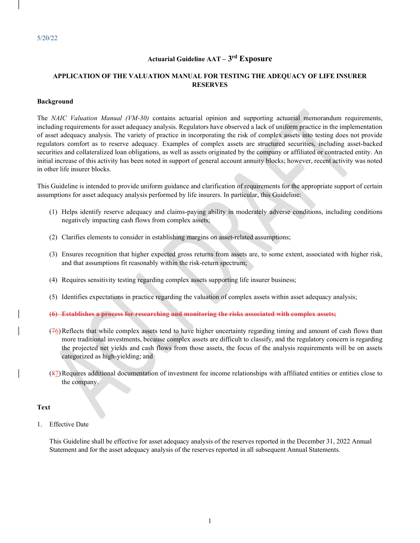## Actuarial Guideline AAT – 3rd Exposure

# APPLICATION OF THE VALUATION MANUAL FOR TESTING THE ADEQUACY OF LIFE INSURER RESERVES

### Background

The NAIC Valuation Manual (VM-30) contains actuarial opinion and supporting actuarial memorandum requirements, including requirements for asset adequacy analysis. Regulators have observed a lack of uniform practice in the implementation of asset adequacy analysis. The variety of practice in incorporating the risk of complex assets into testing does not provide regulators comfort as to reserve adequacy. Examples of complex assets are structured securities, including asset-backed securities and collateralized loan obligations, as well as assets originated by the company or affiliated or contracted entity. An initial increase of this activity has been noted in support of general account annuity blocks; however, recent activity was noted in other life insurer blocks.

This Guideline is intended to provide uniform guidance and clarification of requirements for the appropriate support of certain assumptions for asset adequacy analysis performed by life insurers. In particular, this Guideline:

- (1) Helps identify reserve adequacy and claims-paying ability in moderately adverse conditions, including conditions negatively impacting cash flows from complex assets;
- (2) Clarifies elements to consider in establishing margins on asset-related assumptions;
- (3) Ensures recognition that higher expected gross returns from assets are, to some extent, associated with higher risk, and that assumptions fit reasonably within the risk-return spectrum;
- (4) Requires sensitivity testing regarding complex assets supporting life insurer business;
- (5) Identifies expectations in practice regarding the valuation of complex assets within asset adequacy analysis;
- (6) Establishes a process for researching and monitoring the risks associated with complex assets;
- (76) Reflects that while complex assets tend to have higher uncertainty regarding timing and amount of cash flows than more traditional investments, because complex assets are difficult to classify, and the regulatory concern is regarding the projected net yields and cash flows from those assets, the focus of the analysis requirements will be on assets categorized as high-yielding; and
- (87) Requires additional documentation of investment fee income relationships with affiliated entities or entities close to the company.

#### Text

1. Effective Date

This Guideline shall be effective for asset adequacy analysis of the reserves reported in the December 31, 2022 Annual Statement and for the asset adequacy analysis of the reserves reported in all subsequent Annual Statements.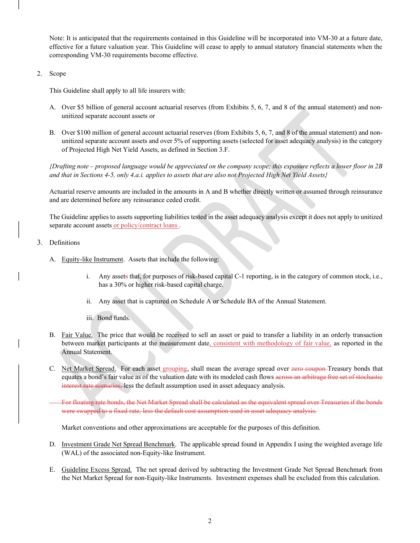Note: It is anticipated that the requirements contained in this Guideline will be incorporated into VM-30 at a future date, effective for a future valuation year. This Guideline will cease to apply to annual statutory financial statements when the corresponding VM-30 requirements become effective.

2. Scope

This Guideline shall apply to all life insurers with:

- A. Over \$5 billion of general account actuarial reserves (from Exhibits 5, 6, 7, and 8 of the annual statement) and nonunitized separate account assets or
- B. Over \$100 million of general account actuarial reserves (from Exhibits 5, 6, 7, and 8 of the annual statement) and nonunitized separate account assets and over 5% of supporting assets (selected for asset adequacy analysis) in the category of Projected High Net Yield Assets, as defined in Section 3.F.

{Drafting note – proposed language would be appreciated on the company scope; this exposure reflects a lower floor in 2B and that in Sections 4-5, only 4.a.i. applies to assets that are also not Projected High Net Yield Assets}

Actuarial reserve amounts are included in the amounts in A and B whether directly written or assumed through reinsurance and are determined before any reinsurance ceded credit.

The Guideline applies to assets supporting liabilities tested in the asset adequacy analysis except it does not apply to unitized separate account assets or policy/contract loans.

- 3. Definitions
	- A. Equity-like Instrument. Assets that include the following:
		- i. Any assets that, for purposes of risk-based capital C-1 reporting, is in the category of common stock, i.e., has a 30% or higher risk-based capital charge.
		- ii. Any asset that is captured on Schedule A or Schedule BA of the Annual Statement.
		- iii. Bond funds.
	- B. Fair Value. The price that would be received to sell an asset or paid to transfer a liability in an orderly transaction between market participants at the measurement date, consistent with methodology of fair value, as reported in the Annual Statement.
	- C. Net Market Spread. For each asset grouping, shall mean the average spread over zero coupon Treasury bonds that equates a bond's fair value as of the valuation date with its modeled cash flows across an arbitrage free set of stochastic interest rate scenarios, less the default assumption used in asset adequacy analysis.
	- For floating rate bonds, the Net Market Spread shall be calculated as the equivalent spread over Treasuries if the bonds were swapped to a fixed rate, less the default cost assumption used in asset adequacy analysis.

Market conventions and other approximations are acceptable for the purposes of this definition.

- D. Investment Grade Net Spread Benchmark. The applicable spread found in Appendix I using the weighted average life (WAL) of the associated non-Equity-like Instrument.
- E. Guideline Excess Spread. The net spread derived by subtracting the Investment Grade Net Spread Benchmark from the Net Market Spread for non-Equity-like Instruments. Investment expenses shall be excluded from this calculation.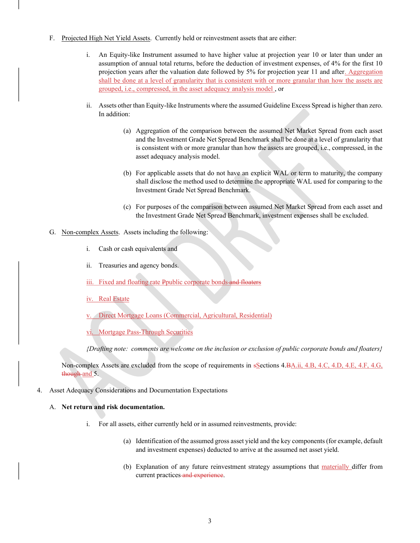- F. Projected High Net Yield Assets. Currently held or reinvestment assets that are either:
	- i. An Equity-like Instrument assumed to have higher value at projection year 10 or later than under an assumption of annual total returns, before the deduction of investment expenses, of 4% for the first 10 projection years after the valuation date followed by 5% for projection year 11 and after. Aggregation shall be done at a level of granularity that is consistent with or more granular than how the assets are grouped, i.e., compressed, in the asset adequacy analysis model , or
	- ii. Assets other than Equity-like Instruments where the assumed Guideline Excess Spread is higher than zero. In addition:
		- (a) Aggregation of the comparison between the assumed Net Market Spread from each asset and the Investment Grade Net Spread Benchmark shall be done at a level of granularity that is consistent with or more granular than how the assets are grouped, i.e., compressed, in the asset adequacy analysis model.
		- (b) For applicable assets that do not have an explicit WAL or term to maturity, the company shall disclose the method used to determine the appropriate WAL used for comparing to the Investment Grade Net Spread Benchmark.
		- (c) For purposes of the comparison between assumed Net Market Spread from each asset and the Investment Grade Net Spread Benchmark, investment expenses shall be excluded.
- G. Non-complex Assets. Assets including the following:
	- i. Cash or cash equivalents and
	- ii. Treasuries and agency bonds.
	- iii. Fixed and floating rate Ppublic corporate bonds and floaters
	- iv. Real Estate
	- v. Direct Mortgage Loans (Commercial, Agricultural, Residential)
	- vi. Mortgage Pass-Through Securities

 ${P}$  are *{Drafting note: comments are welcome on the inclusion or exclusion of public corporate bonds and floaters}* 

Non-complex Assets are excluded from the scope of requirements in sSections 4.BA.ii, 4.B, 4.C, 4.D, 4.E, 4.F, 4.G, though and 5.

4. Asset Adequacy Considerations and Documentation Expectations

### A. Net return and risk documentation.

- i. For all assets, either currently held or in assumed reinvestments, provide:
	- (a) Identification of the assumed gross asset yield and the key components (for example, default and investment expenses) deducted to arrive at the assumed net asset yield.
	- (b) Explanation of any future reinvestment strategy assumptions that materially differ from current practices and experience.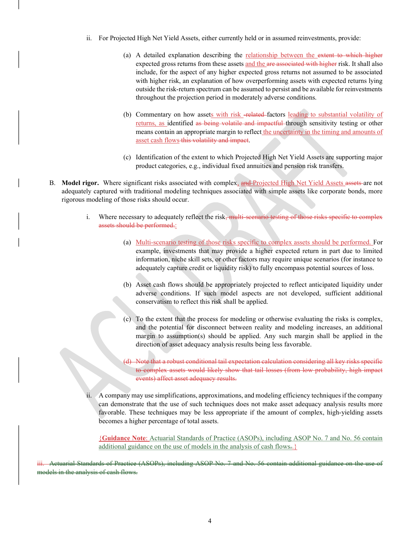- ii. For Projected High Net Yield Assets, either currently held or in assumed reinvestments, provide:
	- (a) A detailed explanation describing the relationship between the extent to which higher expected gross returns from these assets and the are associated with higher risk. It shall also include, for the aspect of any higher expected gross returns not assumed to be associated with higher risk, an explanation of how overperforming assets with expected returns lying outside the risk-return spectrum can be assumed to persist and be available for reinvestments throughout the projection period in moderately adverse conditions.
	- (b) Commentary on how assets with risk -related factors leading to substantial volatility of returns, as identified as being volatile and impactful through sensitivity testing or other means contain an appropriate margin to reflect the uncertainty in the timing and amounts of asset cash flows-this volatility and impact.
	- (c) Identification of the extent to which Projected High Net Yield Assets are supporting major product categories, e.g., individual fixed annuities and pension risk transfers.
- B. Model rigor. Where significant risks associated with complex, and Projected High Net Yield Assets assets are not adequately captured with traditional modeling techniques associated with simple assets like corporate bonds, more rigorous modeling of those risks should occur.
	- i. Where necessary to adequately reflect the risk, multi-scenario testing of those risks specific to complex assets should be performed.:
		- (a) Multi-scenario testing of those risks specific to complex assets should be performed. For example, investments that may provide a higher expected return in part due to limited information, niche skill sets, or other factors may require unique scenarios (for instance to adequately capture credit or liquidity risk) to fully encompass potential sources of loss.
		- (b) Asset cash flows should be appropriately projected to reflect anticipated liquidity under adverse conditions. If such model aspects are not developed, sufficient additional conservatism to reflect this risk shall be applied.
		- (c) To the extent that the process for modeling or otherwise evaluating the risks is complex, and the potential for disconnect between reality and modeling increases, an additional margin to assumption(s) should be applied. Any such margin shall be applied in the direction of asset adequacy analysis results being less favorable.
		- (d) Note that a robust conditional tail expectation calculation considering all key risks specific to complex assets would likely show that tail losses (from low probability, high impact events) affect asset adequacy results.
	- ii. A company may use simplifications, approximations, and modeling efficiency techniques if the company can demonstrate that the use of such techniques does not make asset adequacy analysis results more favorable. These techniques may be less appropriate if the amount of complex, high-yielding assets becomes a higher percentage of total assets.

{Guidance Note: Actuarial Standards of Practice (ASOPs), including ASOP No. 7 and No. 56 contain additional guidance on the use of models in the analysis of cash flows..}

iii. Actuarial Standards of Practice (ASOPs), including ASOP No. 7 and No. 56 contain additional guidance on the use of models in the analysis of cash flows.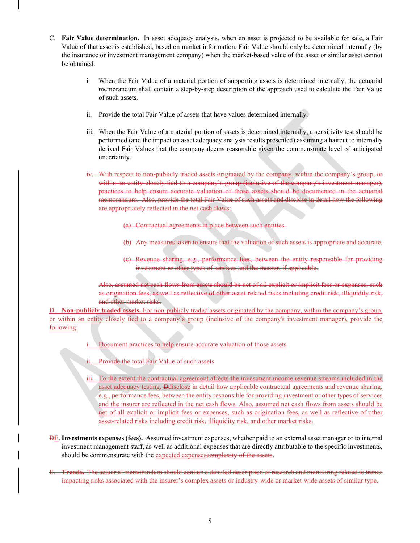- C. Fair Value determination. In asset adequacy analysis, when an asset is projected to be available for sale, a Fair Value of that asset is established, based on market information. Fair Value should only be determined internally (by the insurance or investment management company) when the market-based value of the asset or similar asset cannot be obtained.
	- i. When the Fair Value of a material portion of supporting assets is determined internally, the actuarial memorandum shall contain a step-by-step description of the approach used to calculate the Fair Value of such assets.
	- ii. Provide the total Fair Value of assets that have values determined internally.
	- iii. When the Fair Value of a material portion of assets is determined internally, a sensitivity test should be performed (and the impact on asset adequacy analysis results presented) assuming a haircut to internally derived Fair Values that the company deems reasonable given the commensurate level of anticipated uncertainty.
	- With respect to non-publicly traded assets originated by the company, within the company's group, or within an entity closely tied to a company's group (inclusive of the company's investment manager), practices to help ensure accurate valuation of those assets should be documented in the actuarial memorandum. Also, provide the total Fair Value of such assets and disclose in detail how the following are appropriately reflected in the net cash flows:
		- (a) Contractual agreements in place between such entities.
		- (b) Any measures taken to ensure that the valuation of such assets is appropriate and accurate.
		- (c) Revenue sharing, e.g., performance fees, between the entity responsible for providing investment or other types of services and the insurer, if applicable.
		- Also, assumed net cash flows from assets should be net of all explicit or implicit fees or expenses, such as origination fees, as well as reflective of other asset-related risks including credit risk, illiquidity risk, and other market risks.

D. Non-publicly traded assets. For non-publicly traded assets originated by the company, within the company's group, or within an entity closely tied to a company's group (inclusive of the company's investment manager), provide the following:

- i. Document practices to help ensure accurate valuation of those assets
- Provide the total Fair Value of such assets
- iii. To the extent the contractual agreement affects the investment income revenue streams included in the asset adequacy testing, Ddisclose in detail how applicable contractual agreements and revenue sharing, e.g., performance fees, between the entity responsible for providing investment or other types of services and the insurer are reflected in the net cash flows. Also, assumed net cash flows from assets should be net of all explicit or implicit fees or expenses, such as origination fees, as well as reflective of other asset-related risks including credit risk, illiquidity risk, and other market risks.
- DE. Investments expenses (fees). Assumed investment expenses, whether paid to an external asset manager or to internal investment management staff, as well as additional expenses that are directly attributable to the specific investments, should be commensurate with the expected expenseseomplexity of the assets.
- E. Trends. The actuarial memorandum should contain a detailed description of research and monitoring related to trends impacting risks associated with the insurer's complex assets or industry-wide or market-wide assets of similar type.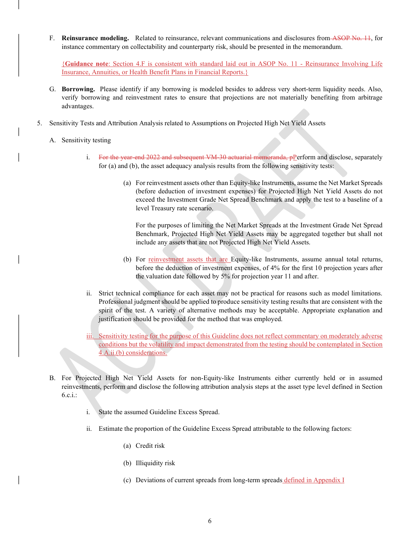F. Reinsurance modeling. Related to reinsurance, relevant communications and disclosures from ASOP No. 11, for instance commentary on collectability and counterparty risk, should be presented in the memorandum.

{Guidance note: Section 4.F is consistent with standard laid out in ASOP No. 11 - Reinsurance Involving Life Insurance, Annuities, or Health Benefit Plans in Financial Reports.}

- G. Borrowing. Please identify if any borrowing is modeled besides to address very short-term liquidity needs. Also, verify borrowing and reinvestment rates to ensure that projections are not materially benefiting from arbitrage advantages.
- 5. Sensitivity Tests and Attribution Analysis related to Assumptions on Projected High Net Yield Assets
	- A. Sensitivity testing
		- i. For the year-end 2022 and subsequent VM-30 actuarial memoranda, pPerform and disclose, separately for (a) and (b), the asset adequacy analysis results from the following sensitivity tests:
			- (a) For reinvestment assets other than Equity-like Instruments, assume the Net Market Spreads (before deduction of investment expenses) for Projected High Net Yield Assets do not exceed the Investment Grade Net Spread Benchmark and apply the test to a baseline of a level Treasury rate scenario.

 For the purposes of limiting the Net Market Spreads at the Investment Grade Net Spread Benchmark, Projected High Net Yield Assets may be aggregated together but shall not include any assets that are not Projected High Net Yield Assets.

- (b) For reinvestment assets that are Equity-like Instruments, assume annual total returns, before the deduction of investment expenses, of 4% for the first 10 projection years after the valuation date followed by 5% for projection year 11 and after.
- ii. Strict technical compliance for each asset may not be practical for reasons such as model limitations. Professional judgment should be applied to produce sensitivity testing results that are consistent with the spirit of the test. A variety of alternative methods may be acceptable. Appropriate explanation and justification should be provided for the method that was employed.
- iii. Sensitivity testing for the purpose of this Guideline does not reflect commentary on moderately adverse conditions but the volatility and impact demonstrated from the testing should be contemplated in Section 4.A.ii.(b) considerations.
- B. For Projected High Net Yield Assets for non-Equity-like Instruments either currently held or in assumed reinvestments, perform and disclose the following attribution analysis steps at the asset type level defined in Section 6.c.i.:
	- i. State the assumed Guideline Excess Spread.
	- ii. Estimate the proportion of the Guideline Excess Spread attributable to the following factors:
		- (a) Credit risk
		- (b) Illiquidity risk
		- (c) Deviations of current spreads from long-term spreads defined in Appendix I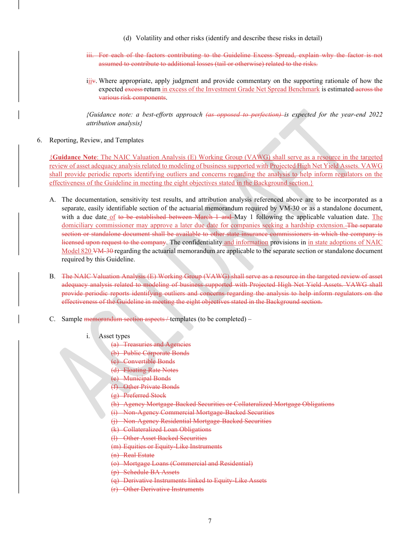- (d) Volatility and other risks (identify and describe these risks in detail)
- iii. For each of the factors contributing to the Guideline Excess Spread, explain why the factor is not assumed to contribute to additional losses (tail or otherwise) related to the risks.
- iiiv. Where appropriate, apply judgment and provide commentary on the supporting rationale of how the expected excess return in excess of the Investment Grade Net Spread Benchmark is estimated across the various risk components.

{Guidance note: a best-efforts approach (as opposed to perfection) is expected for the year-end 2022 attribution analysis}

6. Reporting, Review, and Templates

{Guidance Note: The NAIC Valuation Analysis (E) Working Group (VAWG) shall serve as a resource in the targeted review of asset adequacy analysis related to modeling of business supported with Projected High Net Yield Assets. VAWG shall provide periodic reports identifying outliers and concerns regarding the analysis to help inform regulators on the effectiveness of the Guideline in meeting the eight objectives stated in the Background section.}

- A. The documentation, sensitivity test results, and attribution analysis referenced above are to be incorporated as a separate, easily identifiable section of the actuarial memorandum required by VM-30 or as a standalone document, with a due date of to be established between March 1 and May 1 following the applicable valuation date. The domiciliary commissioner may approve a later due date for companies seeking a hardship extension. The separate section or standalone document shall be available to other state insurance commissioners in which the company is licensed upon request to the company. The confidentiality and information provisions in in state adoptions of NAIC Model 820 VM-30 regarding the actuarial memorandum are applicable to the separate section or standalone document required by this Guideline.
- B. The NAIC Valuation Analysis (E) Working Group (VAWG) shall serve as a resource in the targeted review of asset adequacy analysis related to modeling of business supported with Projected High Net Yield Assets. VAWG shall provide periodic reports identifying outliers and concerns regarding the analysis to help inform regulators on the effectiveness of the Guideline in meeting the eight objectives stated in the Background section.
- C. Sample memorandum section aspects  $\neq$  templates (to be completed)
	- i. Asset types
		- (a) Treasuries and Agencies
		- (b) Public Corporate Bonds
		- (c) Convertible Bonds
		- (d) Floating Rate Notes
		- (e) Municipal Bonds
		- (f) Other Private Bonds
		- (g) Preferred Stock
		- (h) Agency Mortgage-Backed Securities or Collateralized Mortgage Obligations
		- (i) Non-Agency Commercial Mortgage-Backed Securities
		- (j) Non-Agency Residential Mortgage-Backed Securities
		- (k) Collateralized Loan Obligations
		- (l) Other Asset Backed Securities
		- (m) Equities or Equity-Like Instruments
		- (n) Real Estate
		- (o) Mortgage Loans (Commercial and Residential)
		- (p) Schedule BA Assets
		- (q) Derivative Instruments linked to Equity-Like Assets
		- (r) Other Derivative Instruments